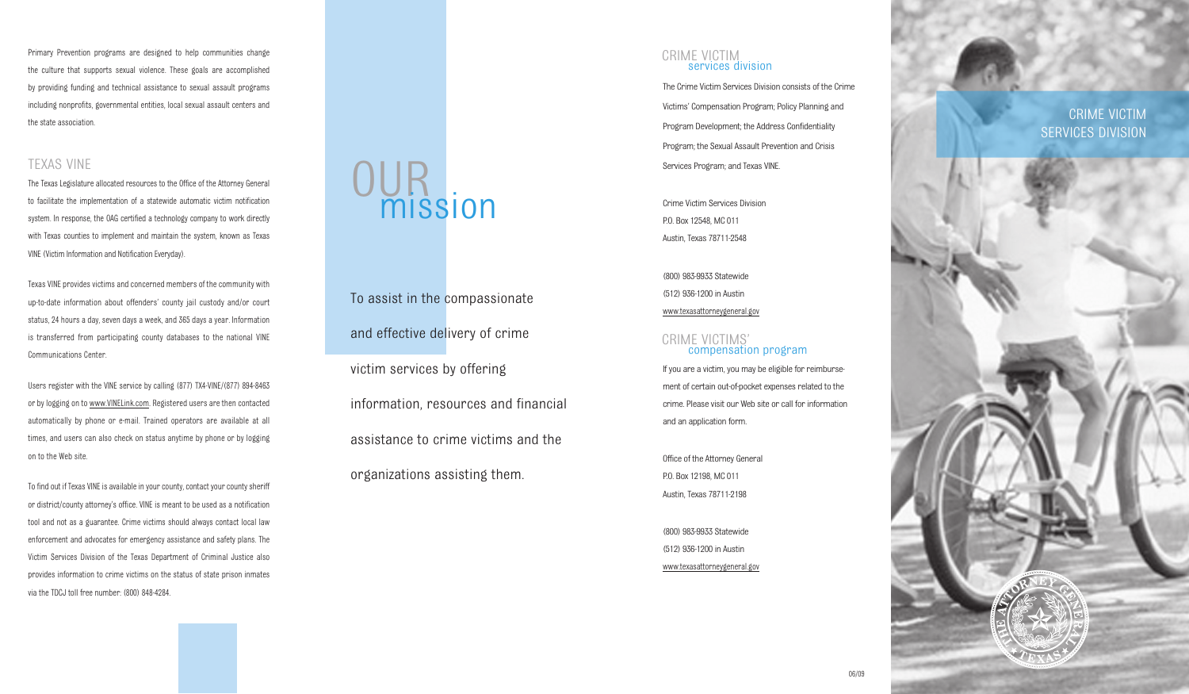Primary Prevention programs are designed to help communities change the culture that supports sexual violence. These goals are accomplished by providing funding and technical assistance to sexual assault programs including nonprofits, governmental entities, local sexual assault centers and the state association.

## TEXAS VINE

The Texas Legislature allocated resources to the Office of the Attorney General to facilitate the implementation of a statewide automatic victim notification system. In response, the OAG certified a technology company to work directly with Texas counties to implement and maintain the system, known as Texas VINE (Victim Information and Notification Everyday).

Texas VINE provides victims and concerned members of the community with up-to-date information about offenders' county jail custody and/or court status, 24 hours a day, seven days a week, and 365 days a year. Information is transferred from participating county databases to the national VINE Communications Center.

Users register with the VINE service by calling (877) TX4-VINE/(877) 894-8463 or by logging on to www.VINELink.com. Registered users are then contacted automatically by phone or e-mail. Trained operators are available at all times, and users can also check on status anytime by phone or by logging on to the Web site.

To find out if Texas VINE is available in your county, contact your county sheriff or district/county attorney's office. VINE is meant to be used as a notification tool and not as a guarantee. Crime victims should always contact local law enforcement and advocates for emergency assistance and safety plans. The Victim Services Division of the Texas Department of Criminal Justice also provides information to crime victims on the status of state prison inmates via the TDCJ toll free number: (800) 848-4284.

# OUR<br>mission

To assist in the compassionate and effective delivery of crime victim services by offering information, resources and financial assistance to crime victims and the organizations assisting them.

### CRIME VICTIM services division

The Crime Victim Services Division consists of the Crime Victims' Compensation Program; Policy Planning and Program Development; the Address Confidentiality Program; the Sexual Assault Prevention and Crisis Services Program; and Texas VINE.

Crime Victim Services Division P.O. Box 12548, MC 011 Austin, Texas 78711-2548

(800) 983-9933 Statewide (512) 936-1200 in Austin www.texasattorneygeneral.gov

## CRIME VICTIMS' compensation program

If you are a victim, you may be eligible for reimbursement of certain out-of-pocket expenses related to the crime. Please visit our Web site or call for information and an application form.

06/09

Office of the Attorney General P.O. Box 12198, MC 011 Austin, Texas 78711-2198

(800) 983-9933 Statewide (512) 936-1200 in Austin www.texasattorneygeneral.gov

CRIME VICTIM SERVICES DIVISION